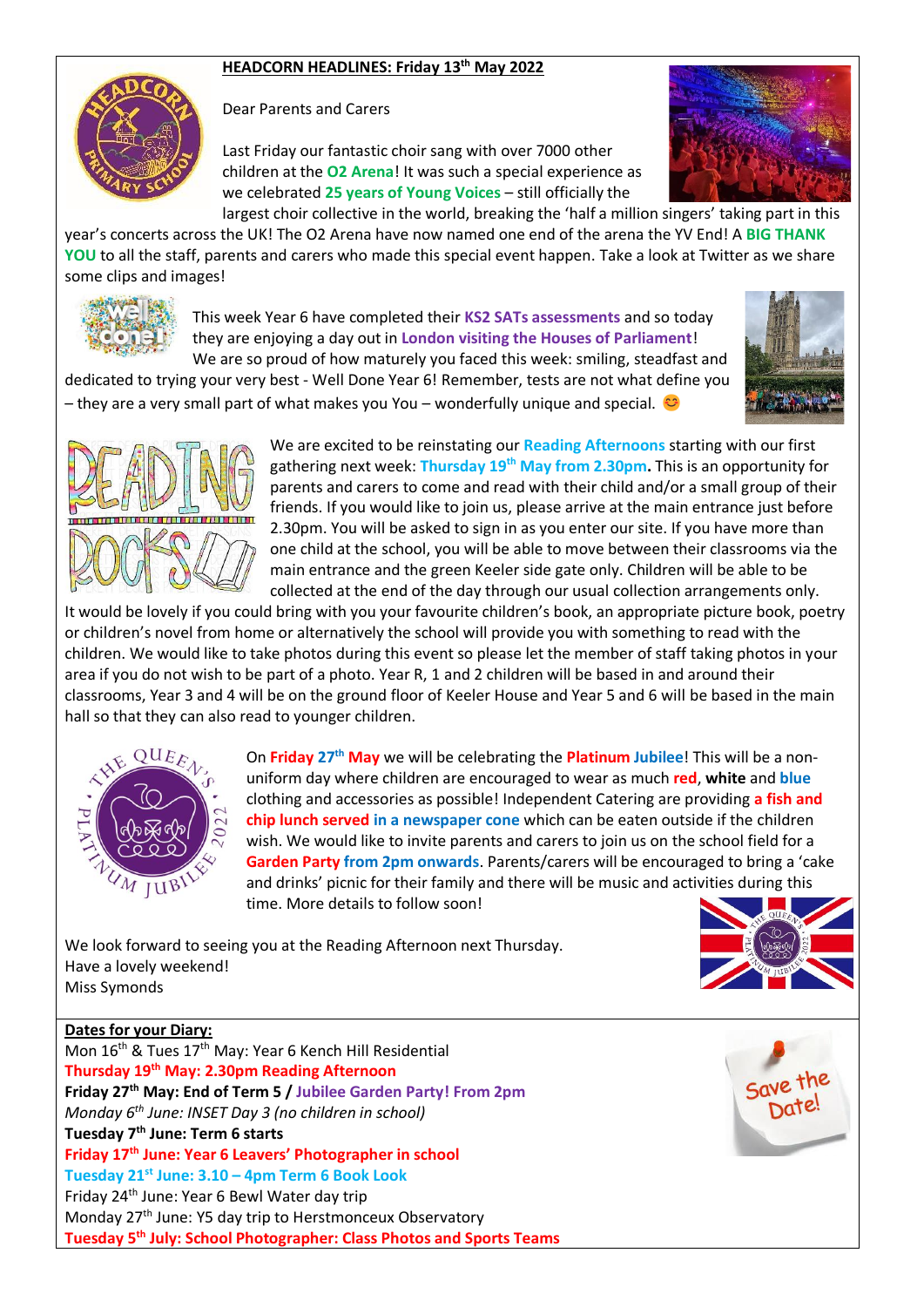#### **HEADCORN HEADLINES: Friday 13th May 2022**



Dear Parents and Carers

Last Friday our fantastic choir sang with over 7000 other children at the **O2 Arena**! It was such a special experience as we celebrated **25 years of Young Voices** – still officially the largest choir collective in the world, breaking the 'half a million singers' taking part in this



year's concerts across the UK! The O2 Arena have now named one end of the arena the YV End! A **BIG THANK YOU** to all the staff, parents and carers who made this special event happen. Take a look at Twitter as we share some clips and images!



This week Year 6 have completed their **KS2 SATs assessments** and so today they are enjoying a day out in **London visiting the Houses of Parliament**! We are so proud of how maturely you faced this week: smiling, steadfast and

dedicated to trying your very best - Well Done Year 6! Remember, tests are not what define you – they are a very small part of what makes you You – wonderfully unique and special.





We are excited to be reinstating our **Reading Afternoons** starting with our first gathering next week: **Thursday 19th May from 2.30pm.** This is an opportunity for parents and carers to come and read with their child and/or a small group of their friends. If you would like to join us, please arrive at the main entrance just before 2.30pm. You will be asked to sign in as you enter our site. If you have more than one child at the school, you will be able to move between their classrooms via the main entrance and the green Keeler side gate only. Children will be able to be collected at the end of the day through our usual collection arrangements only.

It would be lovely if you could bring with you your favourite children's book, an appropriate picture book, poetry or children's novel from home or alternatively the school will provide you with something to read with the children. We would like to take photos during this event so please let the member of staff taking photos in your area if you do not wish to be part of a photo. Year R, 1 and 2 children will be based in and around their classrooms, Year 3 and 4 will be on the ground floor of Keeler House and Year 5 and 6 will be based in the main hall so that they can also read to younger children.



On **Friday 27th May** we will be celebrating the **Platinum Jubilee**! This will be a nonuniform day where children are encouraged to wear as much **red**, **white** and **blue** clothing and accessories as possible! Independent Catering are providing **a fish and chip lunch served in a newspaper cone** which can be eaten outside if the children wish. We would like to invite parents and carers to join us on the school field for a **Garden Party from 2pm onwards**. Parents/carers will be encouraged to bring a 'cake and drinks' picnic for their family and there will be music and activities during this time. More details to follow soon!

We look forward to seeing you at the Reading Afternoon next Thursday. Have a lovely weekend! Miss Symonds



### **Dates for your Diary:**

Mon 16<sup>th</sup> & Tues 17<sup>th</sup> May: Year 6 Kench Hill Residential **Thursday 19th May: 2.30pm Reading Afternoon Friday 27th May: End of Term 5 / Jubilee Garden Party! From 2pm** *Monday 6th June: INSET Day 3 (no children in school)* **Tuesday 7th June: Term 6 starts Friday 17th June: Year 6 Leavers' Photographer in school Tuesday 21st June: 3.10 – 4pm Term 6 Book Look** Friday 24th June: Year 6 Bewl Water day trip Monday 27<sup>th</sup> June: Y5 day trip to Herstmonceux Observatory **Tuesday 5th July: School Photographer: Class Photos and Sports Teams**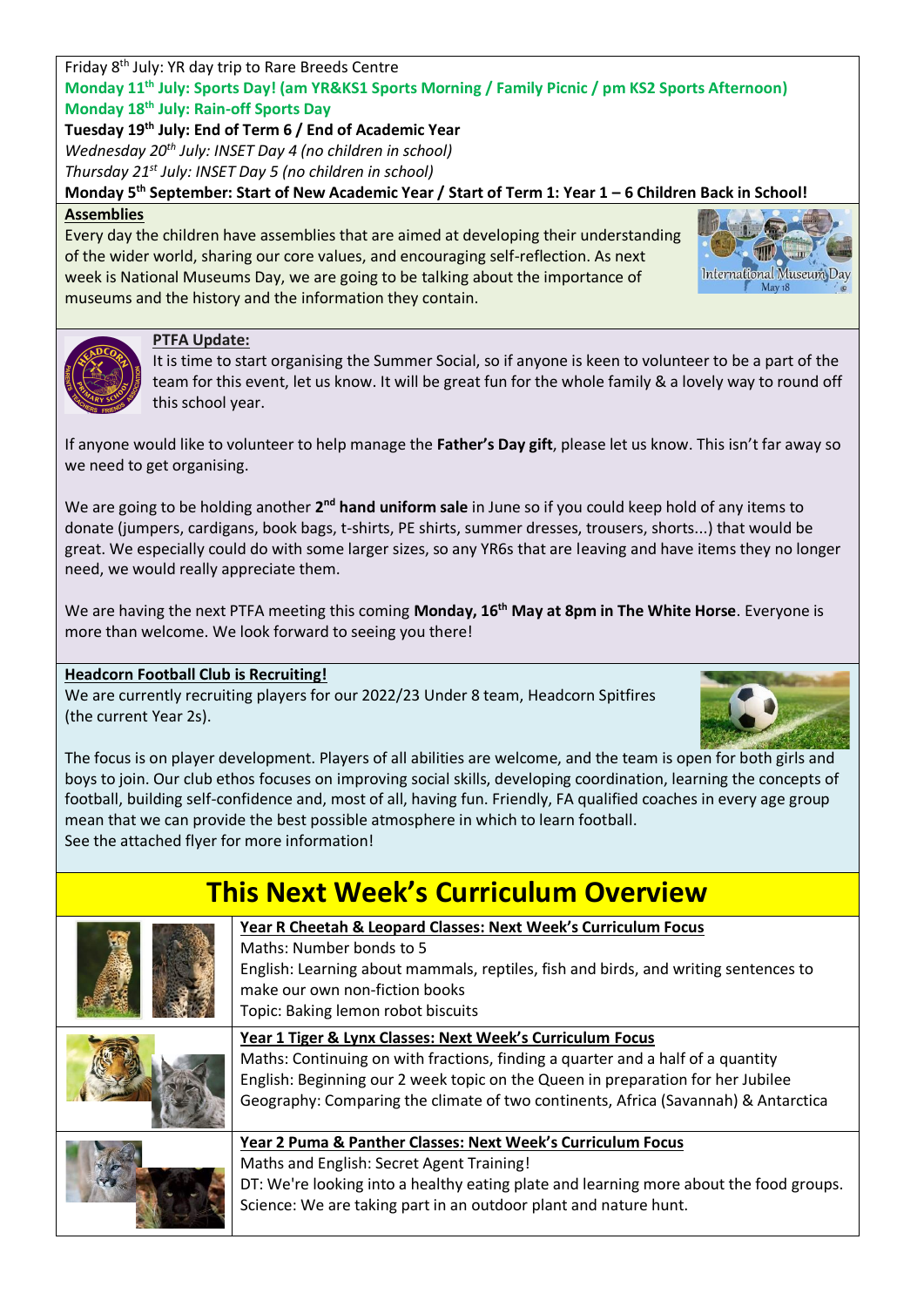#### Friday 8th July: YR day trip to Rare Breeds Centre **Monday 11th July: Sports Day! (am YR&KS1 Sports Morning / Family Picnic / pm KS2 Sports Afternoon) Monday 18th July: Rain-off Sports Day**

**Tuesday 19th July: End of Term 6 / End of Academic Year** *Wednesday 20th July: INSET Day 4 (no children in school) Thursday 21st July: INSET Day 5 (no children in school)*

**Monday 5th September: Start of New Academic Year / Start of Term 1: Year 1 – 6 Children Back in School!**

#### **Assemblies**

Every day the children have assemblies that are aimed at developing their understanding of the wider world, sharing our core values, and encouraging self-reflection. As next week is National Museums Day, we are going to be talking about the importance of museums and the history and the information they contain.





#### **PTFA Update:**

It is time to start organising the Summer Social, so if anyone is keen to volunteer to be a part of the team for this event, let us know. It will be great fun for the whole family & a lovely way to round off this school year.

If anyone would like to volunteer to help manage the **Father's Day gift**, please let us know. This isn't far away so we need to get organising.

We are going to be holding another 2<sup>nd</sup> hand uniform sale in June so if you could keep hold of any items to donate (jumpers, cardigans, book bags, t-shirts, PE shirts, summer dresses, trousers, shorts...) that would be great. We especially could do with some larger sizes, so any YR6s that are leaving and have items they no longer need, we would really appreciate them.

We are having the next PTFA meeting this coming **Monday, 16th May at 8pm in The White Horse**. Everyone is more than welcome. We look forward to seeing you there!

#### **Headcorn Football Club is Recruiting!**

We are currently recruiting players for our 2022/23 Under 8 team, Headcorn Spitfires (the current Year 2s).



The focus is on player development. Players of all abilities are welcome, and the team is open for both girls and boys to join. Our club ethos focuses on improving social skills, developing coordination, learning the concepts of football, building self-confidence and, most of all, having fun. Friendly, FA qualified coaches in every age group mean that we can provide the best possible atmosphere in which to learn football. See the attached flyer for more information!

# **This Next Week's Curriculum Overview**

**Year R Cheetah & Leopard Classes: Next Week's Curriculum Focus**



Maths: Number bonds to 5 English: Learning about mammals, reptiles, fish and birds, and writing sentences to make our own non-fiction books Topic: Baking lemon robot biscuits



#### **Year 1 Tiger & Lynx Classes: Next Week's Curriculum Focus**

Maths: Continuing on with fractions, finding a quarter and a half of a quantity English: Beginning our 2 week topic on the Queen in preparation for her Jubilee Geography: Comparing the climate of two continents, Africa (Savannah) & Antarctica



## **Year 2 Puma & Panther Classes: Next Week's Curriculum Focus**

Maths and English: Secret Agent Training! DT: We're looking into a healthy eating plate and learning more about the food groups. Science: We are taking part in an outdoor plant and nature hunt.